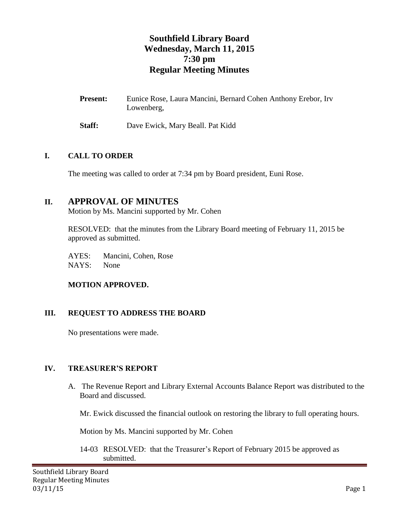# **Southfield Library Board Wednesday, March 11, 2015 7:30 pm Regular Meeting Minutes**

Present: Eunice Rose, Laura Mancini, Bernard Cohen Anthony Erebor, Irv Lowenberg,

**Staff:** Dave Ewick, Mary Beall. Pat Kidd

### **I. CALL TO ORDER**

The meeting was called to order at 7:34 pm by Board president, Euni Rose.

# **II. APPROVAL OF MINUTES**

Motion by Ms. Mancini supported by Mr. Cohen

RESOLVED: that the minutes from the Library Board meeting of February 11, 2015 be approved as submitted.

AYES: Mancini, Cohen, Rose NAYS: None

## **MOTION APPROVED.**

## **III. REQUEST TO ADDRESS THE BOARD**

No presentations were made.

## **IV. TREASURER'S REPORT**

A. The Revenue Report and Library External Accounts Balance Report was distributed to the Board and discussed.

Mr. Ewick discussed the financial outlook on restoring the library to full operating hours.

Motion by Ms. Mancini supported by Mr. Cohen

14-03 RESOLVED: that the Treasurer's Report of February 2015 be approved as submitted.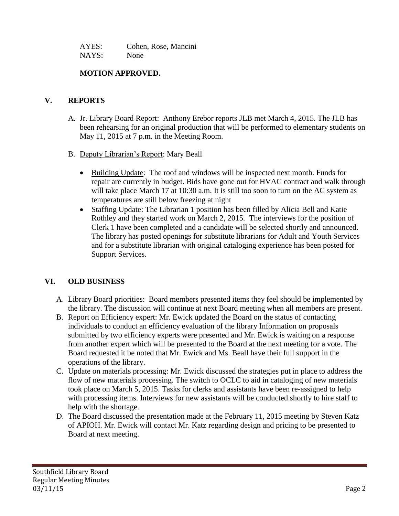| AYES: | Cohen, Rose, Mancini |
|-------|----------------------|
| NAYS: | None                 |

### **MOTION APPROVED.**

### **V. REPORTS**

- A. Jr. Library Board Report: Anthony Erebor reports JLB met March 4, 2015. The JLB has been rehearsing for an original production that will be performed to elementary students on May 11, 2015 at 7 p.m. in the Meeting Room.
- B. Deputy Librarian's Report: Mary Beall
	- Building Update: The roof and windows will be inspected next month. Funds for repair are currently in budget. Bids have gone out for HVAC contract and walk through will take place March 17 at 10:30 a.m. It is still too soon to turn on the AC system as temperatures are still below freezing at night
	- Staffing Update: The Librarian 1 position has been filled by Alicia Bell and Katie Rothley and they started work on March 2, 2015. The interviews for the position of Clerk 1 have been completed and a candidate will be selected shortly and announced. The library has posted openings for substitute librarians for Adult and Youth Services and for a substitute librarian with original cataloging experience has been posted for Support Services.

## **VI. OLD BUSINESS**

- A. Library Board priorities: Board members presented items they feel should be implemented by the library. The discussion will continue at next Board meeting when all members are present.
- B. Report on Efficiency expert: Mr. Ewick updated the Board on the status of contacting individuals to conduct an efficiency evaluation of the library Information on proposals submitted by two efficiency experts were presented and Mr. Ewick is waiting on a response from another expert which will be presented to the Board at the next meeting for a vote. The Board requested it be noted that Mr. Ewick and Ms. Beall have their full support in the operations of the library.
- C. Update on materials processing: Mr. Ewick discussed the strategies put in place to address the flow of new materials processing. The switch to OCLC to aid in cataloging of new materials took place on March 5, 2015. Tasks for clerks and assistants have been re-assigned to help with processing items. Interviews for new assistants will be conducted shortly to hire staff to help with the shortage.
- D. The Board discussed the presentation made at the February 11, 2015 meeting by Steven Katz of APIOH. Mr. Ewick will contact Mr. Katz regarding design and pricing to be presented to Board at next meeting.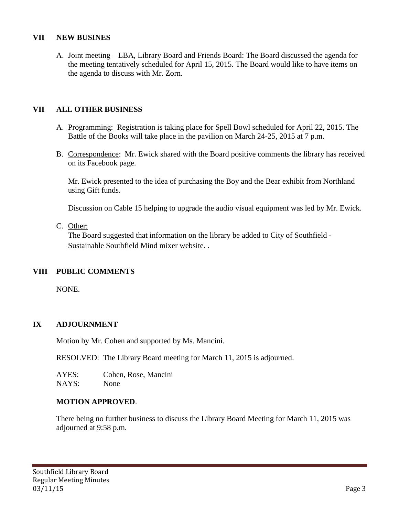### **VII NEW BUSINES**

A. Joint meeting – LBA, Library Board and Friends Board: The Board discussed the agenda for the meeting tentatively scheduled for April 15, 2015. The Board would like to have items on the agenda to discuss with Mr. Zorn.

### **VII ALL OTHER BUSINESS**

- A. Programming: Registration is taking place for Spell Bowl scheduled for April 22, 2015. The Battle of the Books will take place in the pavilion on March 24-25, 2015 at 7 p.m.
- B. Correspondence: Mr. Ewick shared with the Board positive comments the library has received on its Facebook page.

Mr. Ewick presented to the idea of purchasing the Boy and the Bear exhibit from Northland using Gift funds.

Discussion on Cable 15 helping to upgrade the audio visual equipment was led by Mr. Ewick.

#### C. Other:

The Board suggested that information on the library be added to City of Southfield - Sustainable Southfield Mind mixer website. .

### **VIII PUBLIC COMMENTS**

NONE.

### **IX ADJOURNMENT**

Motion by Mr. Cohen and supported by Ms. Mancini.

RESOLVED: The Library Board meeting for March 11, 2015 is adjourned.

AYES: Cohen, Rose, Mancini NAYS: None

### **MOTION APPROVED**.

There being no further business to discuss the Library Board Meeting for March 11, 2015 was adjourned at 9:58 p.m.